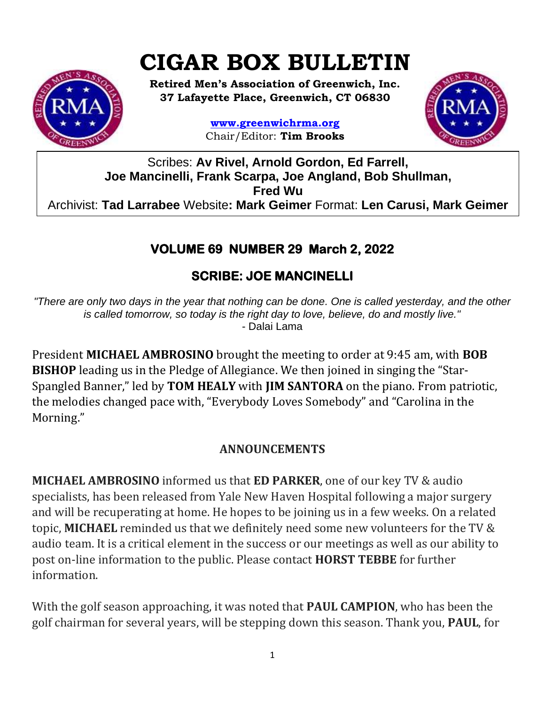# **CIGAR BOX BULLETIN**



**Retired Men's Association of Greenwich, Inc. 37 Lafayette Place, Greenwich, CT 06830**

> **www.greenwichrma.org** Chair/Editor: **Tim Brooks**



Scribes: **Av Rivel, Arnold Gordon, Ed Farrell, Joe Mancinelli, Frank Scarpa, Joe Angland, Bob Shullman, Fred Wu** Archivist: **Tad Larrabee** Website**: Mark Geimer** Format: **Len Carusi, Mark Geimer c**

## **VOLUME 69 NUMBER 29 March 2, 2022**

# **SCRIBE: JOE MANCINELLI**

*"There are only two days in the year that nothing can be done. One is called yesterday, and the other is called tomorrow, so today is the right day to love, believe, do and mostly live."*  - Dalai Lama

President **MICHAEL AMBROSINO** brought the meeting to order at 9:45 am, with **BOB BISHOP** leading us in the Pledge of Allegiance. We then joined in singing the "Star-Spangled Banner," led by **TOM HEALY** with **JIM SANTORA** on the piano. From patriotic, the melodies changed pace with, "Everybody Loves Somebody" and "Carolina in the Morning."

## **ANNOUNCEMENTS**

**MICHAEL AMBROSINO** informed us that **ED PARKER**, one of our key TV & audio specialists, has been released from Yale New Haven Hospital following a major surgery and will be recuperating at home. He hopes to be joining us in a few weeks. On a related topic, **MICHAEL** reminded us that we definitely need some new volunteers for the TV & audio team. It is a critical element in the success or our meetings as well as our ability to post on-line information to the public. Please contact **HORST TEBBE** for further information.

With the golf season approaching, it was noted that **PAUL CAMPION**, who has been the golf chairman for several years, will be stepping down this season. Thank you, **PAUL**, for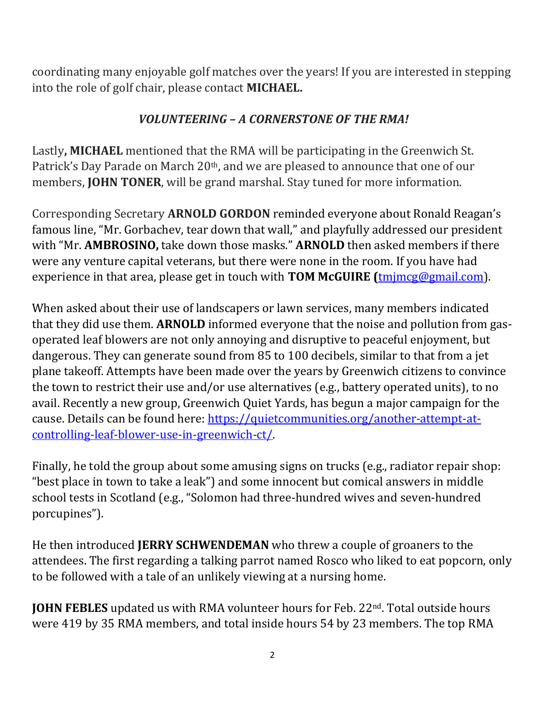coordinating many enjoyable golf matches over the years! If you are interested in stepping into the role of golf chair, please contact **MICHAEL.**

## *VOLUNTEERING – A CORNERSTONE OF THE RMA!*

Lastly**, MICHAEL** mentioned that the RMA will be participating in the Greenwich St. Patrick's Day Parade on March 20<sup>th</sup>, and we are pleased to announce that one of our members, **JOHN TONER**, will be grand marshal. Stay tuned for more information.

Corresponding Secretary **ARNOLD GORDON** reminded everyone about Ronald Reagan's famous line, "Mr. Gorbachev, tear down that wall," and playfully addressed our president with "Mr. **AMBROSINO,** take down those masks." **ARNOLD** then asked members if there were any venture capital veterans, but there were none in the room. If you have had experience in that area, please get in touch with **TOM McGUIRE (**[tmjmcg@gmail.com\)](mailto:tmjmcg@gmail.com).

When asked about their use of landscapers or lawn services, many members indicated that they did use them. **ARNOLD** informed everyone that the noise and pollution from gasoperated leaf blowers are not only annoying and disruptive to peaceful enjoyment, but dangerous. They can generate sound from 85 to 100 decibels, similar to that from a jet plane takeoff. Attempts have been made over the years by Greenwich citizens to convince the town to restrict their use and/or use alternatives (e.g., battery operated units), to no avail. Recently a new group, Greenwich Quiet Yards, has begun a major campaign for the cause. Details can be found here: [https://quietcommunities.org/another-attempt-at](https://quietcommunities.org/another-attempt-at-controlling-leaf-blower-use-in-greenwich-ct/)[controlling-leaf-blower-use-in-greenwich-ct/.](https://quietcommunities.org/another-attempt-at-controlling-leaf-blower-use-in-greenwich-ct/)

Finally, he told the group about some amusing signs on trucks (e.g., radiator repair shop: "best place in town to take a leak") and some innocent but comical answers in middle school tests in Scotland (e.g., "Solomon had three-hundred wives and seven-hundred porcupines").

He then introduced **JERRY SCHWENDEMAN** who threw a couple of groaners to the attendees. The first regarding a talking parrot named Rosco who liked to eat popcorn, only to be followed with a tale of an unlikely viewing at a nursing home.

**JOHN FEBLES** updated us with RMA volunteer hours for Feb. 22<sup>nd</sup>. Total outside hours were 419 by 35 RMA members, and total inside hours 54 by 23 members. The top RMA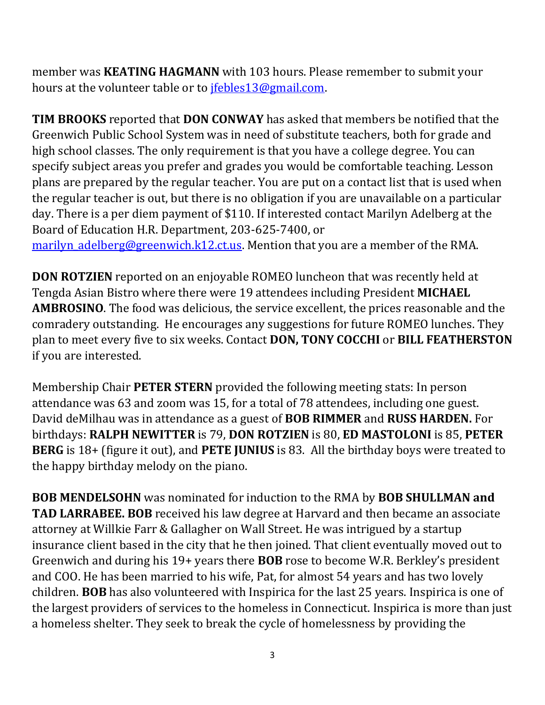member was **KEATING HAGMANN** with 103 hours. Please remember to submit your hours at the volunteer table or to *jfebles13@gmail.com*.

**TIM BROOKS** reported that **DON CONWAY** has asked that members be notified that the Greenwich Public School System was in need of substitute teachers, both for grade and high school classes. The only requirement is that you have a college degree. You can specify subject areas you prefer and grades you would be comfortable teaching. Lesson plans are prepared by the regular teacher. You are put on a contact list that is used when the regular teacher is out, but there is no obligation if you are unavailable on a particular day. There is a per diem payment of \$110. If interested contact Marilyn Adelberg at the Board of Education H.R. Department, 203-625-7400, or

marilyn adelberg@greenwich.k12.ct.us. Mention that you are a member of the RMA.

**DON ROTZIEN** reported on an enjoyable ROMEO luncheon that was recently held at Tengda Asian Bistro where there were 19 attendees including President **MICHAEL AMBROSINO**. The food was delicious, the service excellent, the prices reasonable and the comradery outstanding. He encourages any suggestions for future ROMEO lunches. They plan to meet every five to six weeks. Contact **DON, TONY COCCHI** or **BILL FEATHERSTON** if you are interested.

Membership Chair **PETER STERN** provided the following meeting stats: In person attendance was 63 and zoom was 15, for a total of 78 attendees, including one guest. David deMilhau was in attendance as a guest of **BOB RIMMER** and **RUSS HARDEN.** For birthdays: **RALPH NEWITTER** is 79, **DON ROTZIEN** is 80, **ED MASTOLONI** is 85, **PETER BERG** is 18+ (figure it out), and **PETE JUNIUS** is 83. All the birthday boys were treated to the happy birthday melody on the piano.

**BOB MENDELSOHN** was nominated for induction to the RMA by **BOB SHULLMAN and TAD LARRABEE. BOB** received his law degree at Harvard and then became an associate attorney at Willkie Farr & Gallagher on Wall Street. He was intrigued by a startup insurance client based in the city that he then joined. That client eventually moved out to Greenwich and during his 19+ years there **BOB** rose to become W.R. Berkley's president and COO. He has been married to his wife, Pat, for almost 54 years and has two lovely children. **BOB** has also volunteered with Inspirica for the last 25 years. Inspirica is one of the largest providers of services to the homeless in Connecticut. Inspirica is more than just a homeless shelter. They seek to break the cycle of homelessness by providing the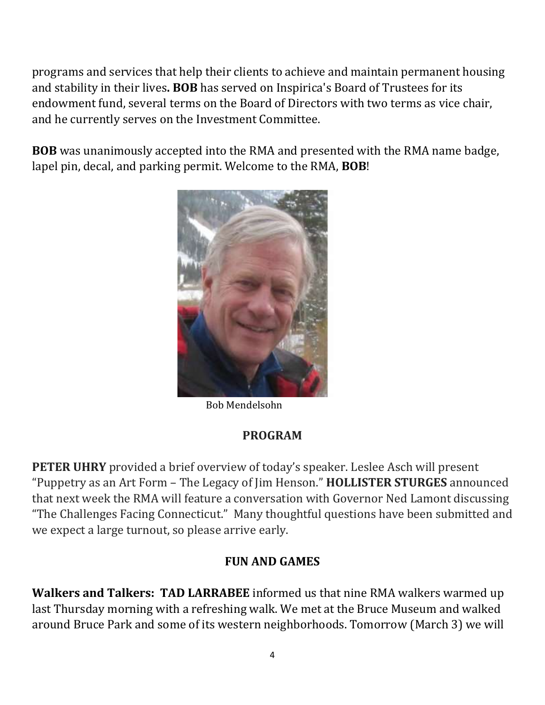programs and services that help their clients to achieve and maintain permanent housing and stability in their lives**. BOB** has served on Inspirica's Board of Trustees for its endowment fund, several terms on the Board of Directors with two terms as vice chair, and he currently serves on the Investment Committee.

**BOB** was unanimously accepted into the RMA and presented with the RMA name badge, lapel pin, decal, and parking permit. Welcome to the RMA, **BOB**!



Bob Mendelsohn

## **PROGRAM**

**PETER UHRY** provided a brief overview of today's speaker. Leslee Asch will present "Puppetry as an Art Form – The Legacy of Jim Henson." **HOLLISTER STURGES** announced that next week the RMA will feature a conversation with Governor Ned Lamont discussing "The Challenges Facing Connecticut." Many thoughtful questions have been submitted and we expect a large turnout, so please arrive early.

## **FUN AND GAMES**

**Walkers and Talkers: TAD LARRABEE** informed us that nine RMA walkers warmed up last Thursday morning with a refreshing walk. We met at the Bruce Museum and walked around Bruce Park and some of its western neighborhoods. Tomorrow (March 3) we will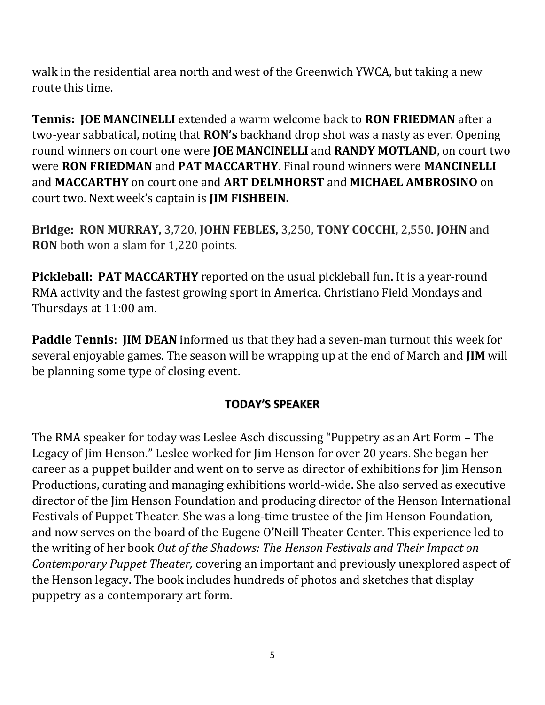walk in the residential area north and west of the Greenwich YWCA, but taking a new route this time.

**Tennis: JOE MANCINELLI** extended a warm welcome back to **RON FRIEDMAN** after a two-year sabbatical, noting that **RON's** backhand drop shot was a nasty as ever. Opening round winners on court one were **JOE MANCINELLI** and **RANDY MOTLAND**, on court two were **RON FRIEDMAN** and **PAT MACCARTHY**. Final round winners were **MANCINELLI** and **MACCARTHY** on court one and **ART DELMHORST** and **MICHAEL AMBROSINO** on court two. Next week's captain is **JIM FISHBEIN.**

**Bridge: RON MURRAY,** 3,720, **JOHN FEBLES,** 3,250, **TONY COCCHI,** 2,550. **JOHN** and **RON** both won a slam for 1,220 points.

**Pickleball: PAT MACCARTHY** reported on the usual pickleball fun**.** It is a year-round RMA activity and the fastest growing sport in America. Christiano Field Mondays and Thursdays at 11:00 am.

**Paddle Tennis: JIM DEAN** informed us that they had a seven-man turnout this week for several enjoyable games. The season will be wrapping up at the end of March and **JIM** will be planning some type of closing event.

#### **TODAY'S SPEAKER**

The RMA speaker for today was Leslee Asch discussing "Puppetry as an Art Form – The Legacy of Jim Henson." Leslee worked for Jim Henson for over 20 years. She began her career as a puppet builder and went on to serve as director of exhibitions for Jim Henson Productions, curating and managing exhibitions world-wide. She also served as executive director of the Jim Henson Foundation and producing director of the Henson International Festivals of Puppet Theater. She was a long-time trustee of the Jim Henson Foundation, and now serves on the board of the Eugene O'Neill Theater Center. This experience led to the writing of her book *Out of the Shadows: The Henson Festivals and Their Impact on Contemporary Puppet Theater,* covering an important and previously unexplored aspect of the Henson legacy. The book includes hundreds of photos and sketches that display puppetry as a contemporary art form.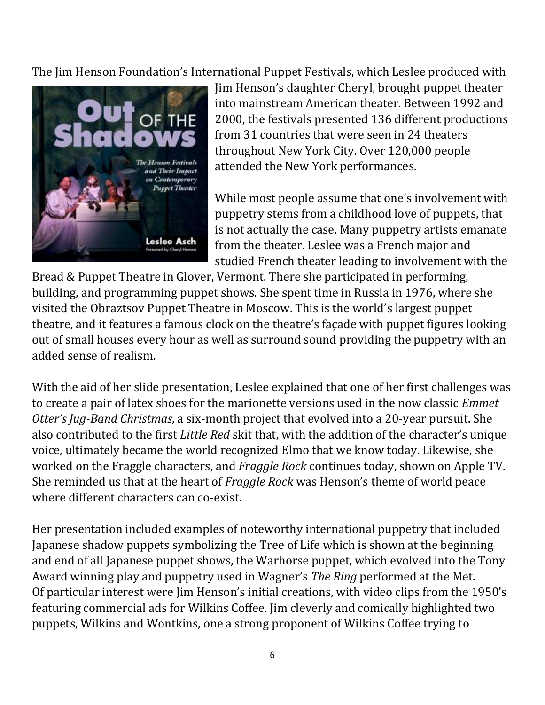The Jim Henson Foundation's International Puppet Festivals, which Leslee produced with



Jim Henson's daughter Cheryl, brought puppet theater into mainstream American theater. Between 1992 and 2000, the festivals presented 136 different productions from 31 countries that were seen in 24 theaters throughout New York City. Over 120,000 people attended the New York performances.

While most people assume that one's involvement with puppetry stems from a childhood love of puppets, that is not actually the case. Many puppetry artists emanate from the theater. Leslee was a French major and studied French theater leading to involvement with the

Bread & Puppet Theatre in Glover, Vermont. There she participated in performing, building, and programming puppet shows. She spent time in Russia in 1976, where she visited the Obraztsov Puppet Theatre in Moscow. This is the world's largest puppet theatre, and it features a famous clock on the theatre's façade with puppet figures looking out of small houses every hour as well as surround sound providing the puppetry with an added sense of realism.

With the aid of her slide presentation, Leslee explained that one of her first challenges was to create a pair of latex shoes for the marionette versions used in the now classic *Emmet Otter's Jug-Band Christmas*, a six-month project that evolved into a 20-year pursuit. She also contributed to the first *Little Red* skit that, with the addition of the character's unique voice, ultimately became the world recognized Elmo that we know today. Likewise, she worked on the Fraggle characters, and *Fraggle Rock* continues today, shown on Apple TV. She reminded us that at the heart of *Fraggle Rock* was Henson's theme of world peace where different characters can co-exist.

Her presentation included examples of noteworthy international puppetry that included Japanese shadow puppets symbolizing the Tree of Life which is shown at the beginning and end of all Japanese puppet shows, the Warhorse puppet, which evolved into the Tony Award winning play and puppetry used in Wagner's *The Ring* performed at the Met. Of particular interest were Jim Henson's initial creations, with video clips from the 1950's featuring commercial ads for Wilkins Coffee. Jim cleverly and comically highlighted two puppets, Wilkins and Wontkins, one a strong proponent of Wilkins Coffee trying to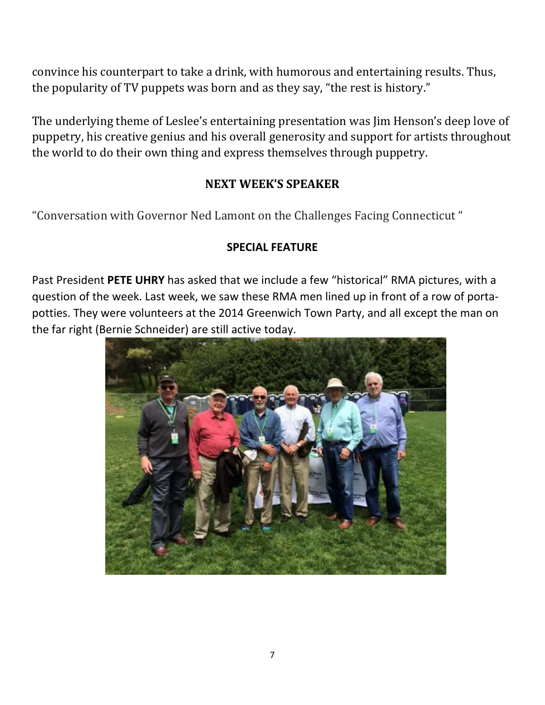convince his counterpart to take a drink, with humorous and entertaining results. Thus, the popularity of TV puppets was born and as they say, "the rest is history."

The underlying theme of Leslee's entertaining presentation was Jim Henson's deep love of puppetry, his creative genius and his overall generosity and support for artists throughout the world to do their own thing and express themselves through puppetry.

#### **NEXT WEEK'S SPEAKER**

"Conversation with Governor Ned Lamont on the Challenges Facing Connecticut "

#### **SPECIAL FEATURE**

Past President **PETE UHRY** has asked that we include a few "historical" RMA pictures, with a question of the week. Last week, we saw these RMA men lined up in front of a row of portapotties. They were volunteers at the 2014 Greenwich Town Party, and all except the man on the far right (Bernie Schneider) are still active today.

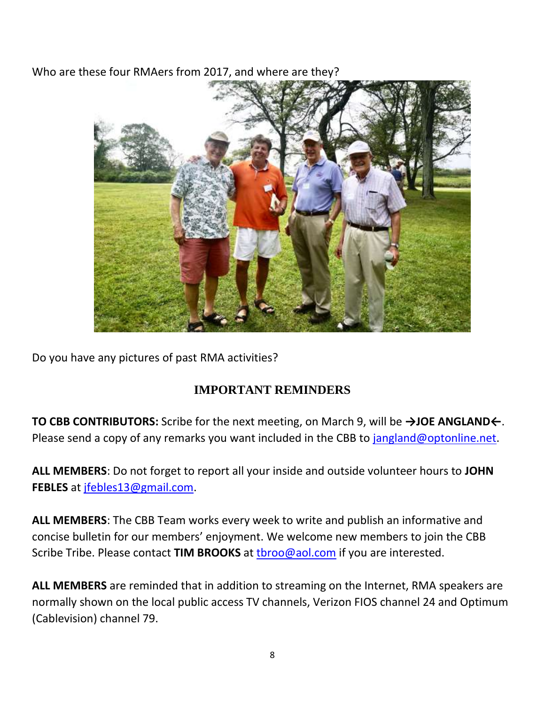Who are these four RMAers from 2017, and where are they?



Do you have any pictures of past RMA activities?

## **IMPORTANT REMINDERS**

**TO CBB CONTRIBUTORS:** Scribe for the next meeting, on March 9, will be **→JOE ANGLAND←**. Please send a copy of any remarks you want included in the CBB to [jangland@optonline.net.](mailto:jangland@optonline.net)

**ALL MEMBERS**: Do not forget to report all your inside and outside volunteer hours to **JOHN FEBLES** at [jfebles13@gmail.com.](mailto:jfebles13@gmail.com)

**ALL MEMBERS**: The CBB Team works every week to write and publish an informative and concise bulletin for our members' enjoyment. We welcome new members to join the CBB Scribe Tribe. Please contact **TIM BROOKS** at [tbroo@aol.com](mailto:tbroo@aol.com) if you are interested.

**ALL MEMBERS** are reminded that in addition to streaming on the Internet, RMA speakers are normally shown on the local public access TV channels, Verizon FIOS channel 24 and Optimum (Cablevision) channel 79.